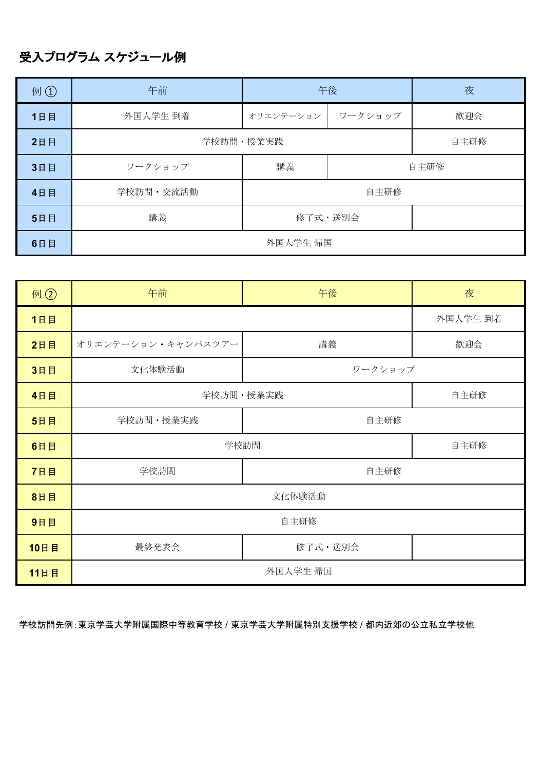## 受入プログラム スケジュール例

| 例①  | 午前        |           | 午後      | 夜    |
|-----|-----------|-----------|---------|------|
| 1日目 | 外国人学生 到着  | オリエンテーション | ワークショップ | 歓迎会  |
| 2日目 | 学校訪問·授業実践 |           |         | 自主研修 |
| 3日目 | ワークショップ   | 講義        | 自主研修    |      |
| 4日目 | 学校訪問·交流活動 | 自主研修      |         |      |
| 5日目 | 講義        | 修了式·送別会   |         |      |
| 6日目 | 外国人学生 帰国  |           |         |      |

| 例 ②  | 午前                 | 午後       | 夜    |  |
|------|--------------------|----------|------|--|
| 1日目  |                    | 外国人学生 到着 |      |  |
| 2日目  | オリエンテーション・キャンパスツアー | 講義       | 歓迎会  |  |
| 3日目  | 文化体験活動             | ワークショップ  |      |  |
| 4日目  | 学校訪問·授業実践          |          | 自主研修 |  |
| 5日目  | 学校訪問·授業実践          | 自主研修     |      |  |
| 6日目  | 学校訪問               |          | 自主研修 |  |
| 7日目  | 学校訪問               | 自主研修     |      |  |
| 8日目  | 文化体験活動             |          |      |  |
| 9日目  | 自主研修               |          |      |  |
| 10日目 | 最終発表会              | 修了式·送別会  |      |  |
| 11日目 | 外国人学生 帰国           |          |      |  |

学校訪問先例:東京学芸大学附属国際中等教育学校 / 東京学芸大学附属特別支援学校 / 都内近郊の公立私立学校他